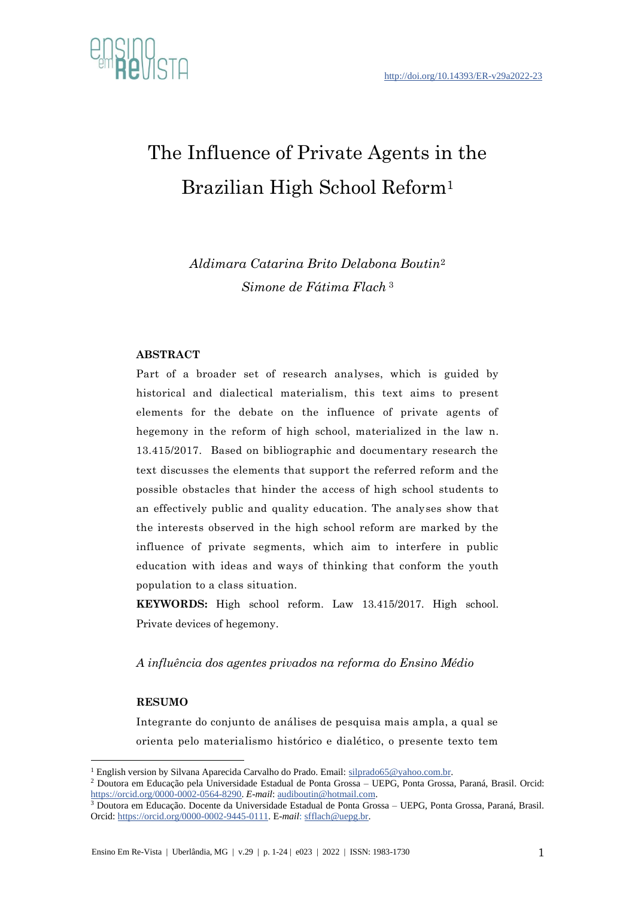

# The Influence of Private Agents in the Brazilian High School Reform<sup>1</sup>

*Aldimara Catarina Brito Delabona Boutin*<sup>2</sup> *Simone de Fátima Flach* <sup>3</sup>

#### **ABSTRACT**

Part of a broader set of research analyses, which is guided by historical and dialectical materialism, this text aims to present elements for the debate on the influence of private agents of hegemony in the reform of high school, materialized in the law n. 13.415/2017. Based on bibliographic and documentary research the text discusses the elements that support the referred reform and the possible obstacles that hinder the access of high school students to an effectively public and quality education. The analyses show that the interests observed in the high school reform are marked by the influence of private segments, which aim to interfere in public education with ideas and ways of thinking that conform the youth population to a class situation.

**KEYWORDS:** High school reform. Law 13.415/2017. High school. Private devices of hegemony.

*A influência dos agentes privados na reforma do Ensino Médio*

#### **RESUMO**

Integrante do conjunto de análises de pesquisa mais ampla, a qual se orienta pelo materialismo histórico e dialético, o presente texto tem

<sup>&</sup>lt;sup>1</sup> English version by Silvana Aparecida Carvalho do Prado. Email: [silprado65@yahoo.com.br.](silprado65@yahoo.com.br)

<sup>2</sup> Doutora em Educação pela Universidade Estadual de Ponta Grossa – UEPG, Ponta Grossa, Paraná, Brasil. Orcid: [https://orcid.org/0000-0002-0564-8290.](https://orcid.org/0000-0002-0564-8290) *E-mail*: [audiboutin@hotmail.com.](mailto:audiboutin@hotmail.com)

<sup>3</sup> Doutora em Educação. Docente da Universidade Estadual de Ponta Grossa – UEPG, Ponta Grossa, Paraná, Brasil. Orcid: [https://orcid.org/0000-0002-9445-0111.](https://orcid.org/0000-0002-9445-0111) E-*mail*[: sfflach@uepg.br.](mailto:sfflach@uepg.br)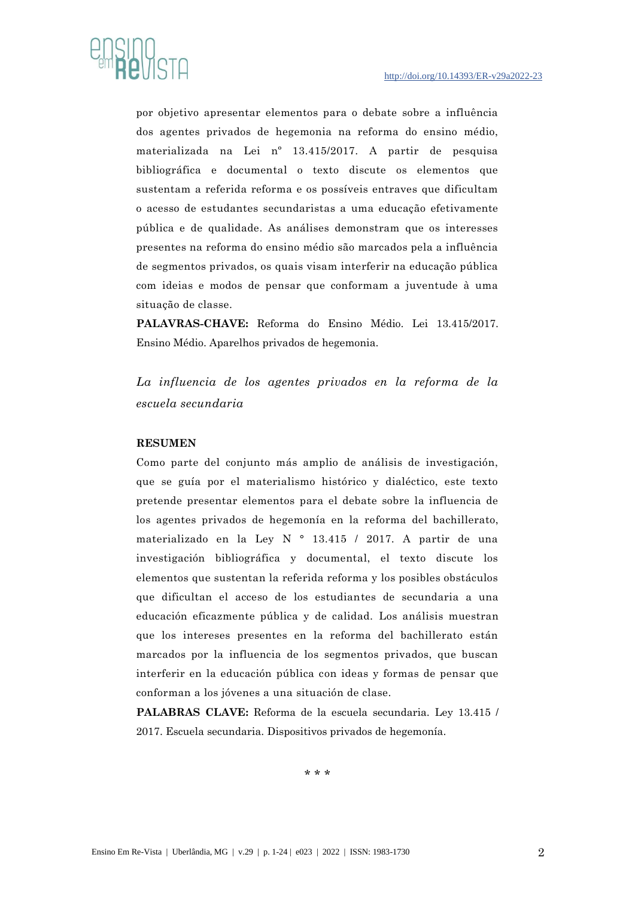

por objetivo apresentar elementos para o debate sobre a influência dos agentes privados de hegemonia na reforma do ensino médio, materializada na Lei nº 13.415/2017. A partir de pesquisa bibliográfica e documental o texto discute os elementos que sustentam a referida reforma e os possíveis entraves que dificultam o acesso de estudantes secundaristas a uma educação efetivamente pública e de qualidade. As análises demonstram que os interesses presentes na reforma do ensino médio são marcados pela a influência de segmentos privados, os quais visam interferir na educação pública com ideias e modos de pensar que conformam a juventude à uma situação de classe.

**PALAVRAS-CHAVE:** Reforma do Ensino Médio. Lei 13.415/2017. Ensino Médio. Aparelhos privados de hegemonia.

*La influencia de los agentes privados en la reforma de la escuela secundaria*

#### **RESUMEN**

Como parte del conjunto más amplio de análisis de investigación, que se guía por el materialismo histórico y dialéctico, este texto pretende presentar elementos para el debate sobre la influencia de los agentes privados de hegemonía en la reforma del bachillerato, materializado en la Ley N ° 13.415 / 2017. A partir de una investigación bibliográfica y documental, el texto discute los elementos que sustentan la referida reforma y los posibles obstáculos que dificultan el acceso de los estudiantes de secundaria a una educación eficazmente pública y de calidad. Los análisis muestran que los intereses presentes en la reforma del bachillerato están marcados por la influencia de los segmentos privados, que buscan interferir en la educación pública con ideas y formas de pensar que conforman a los jóvenes a una situación de clase.

**PALABRAS CLAVE:** Reforma de la escuela secundaria. Ley 13.415 / 2017. Escuela secundaria. Dispositivos privados de hegemonía.

\* \* \*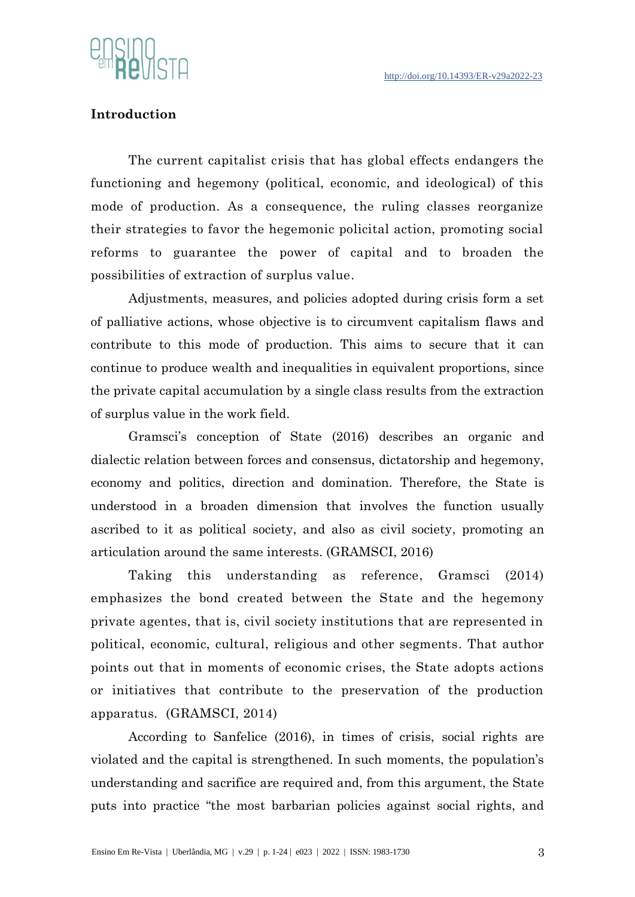

# **Introduction**

The current capitalist crisis that has global effects endangers the functioning and hegemony (political, economic, and ideological) of this mode of production. As a consequence, the ruling classes reorganize their strategies to favor the hegemonic policital action, promoting social reforms to guarantee the power of capital and to broaden the possibilities of extraction of surplus value.

Adjustments, measures, and policies adopted during crisis form a set of palliative actions, whose objective is to circumvent capitalism flaws and contribute to this mode of production. This aims to secure that it can continue to produce wealth and inequalities in equivalent proportions, since the private capital accumulation by a single class results from the extraction of surplus value in the work field.

Gramsci's conception of State (2016) describes an organic and dialectic relation between forces and consensus, dictatorship and hegemony, economy and politics, direction and domination. Therefore, the State is understood in a broaden dimension that involves the function usually ascribed to it as political society, and also as civil society, promoting an articulation around the same interests. (GRAMSCI, 2016)

Taking this understanding as reference, Gramsci (2014) emphasizes the bond created between the State and the hegemony private agentes, that is, civil society institutions that are represented in political, economic, cultural, religious and other segments. That author points out that in moments of economic crises, the State adopts actions or initiatives that contribute to the preservation of the production apparatus. (GRAMSCI, 2014)

According to Sanfelice (2016), in times of crisis, social rights are violated and the capital is strengthened. In such moments, the population's understanding and sacrifice are required and, from this argument, the State puts into practice "the most barbarian policies against social rights, and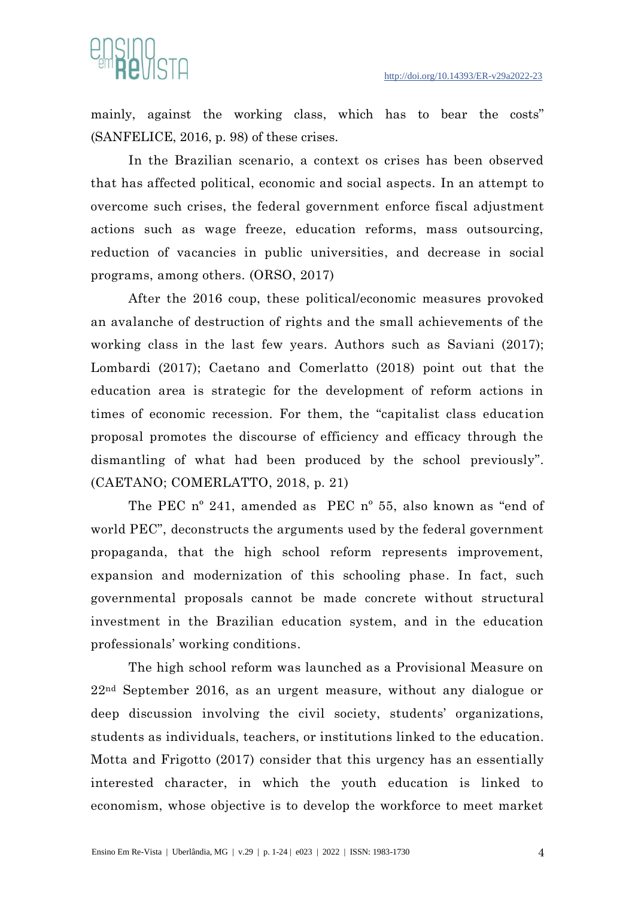

mainly, against the working class, which has to bear the costs" (SANFELICE, 2016, p. 98) of these crises.

In the Brazilian scenario, a context os crises has been observed that has affected political, economic and social aspects. In an attempt to overcome such crises, the federal government enforce fiscal adjustment actions such as wage freeze, education reforms, mass outsourcing, reduction of vacancies in public universities, and decrease in social programs, among others. (ORSO, 2017)

After the 2016 coup, these political/economic measures provoked an avalanche of destruction of rights and the small achievements of the working class in the last few years. Authors such as Saviani (2017); Lombardi (2017); Caetano and Comerlatto (2018) point out that the education area is strategic for the development of reform actions in times of economic recession. For them, the "capitalist class education proposal promotes the discourse of efficiency and efficacy through the dismantling of what had been produced by the school previously". (CAETANO; COMERLATTO, 2018, p. 21)

The PEC nº 241, amended as PEC nº 55, also known as "end of world PEC", deconstructs the arguments used by the federal government propaganda, that the high school reform represents improvement, expansion and modernization of this schooling phase. In fact, such governmental proposals cannot be made concrete without structural investment in the Brazilian education system, and in the education professionals' working conditions.

The high school reform was launched as a Provisional Measure on 22nd September 2016, as an urgent measure, without any dialogue or deep discussion involving the civil society, students' organizations, students as individuals, teachers, or institutions linked to the education. Motta and Frigotto (2017) consider that this urgency has an essentially interested character, in which the youth education is linked to economism, whose objective is to develop the workforce to meet market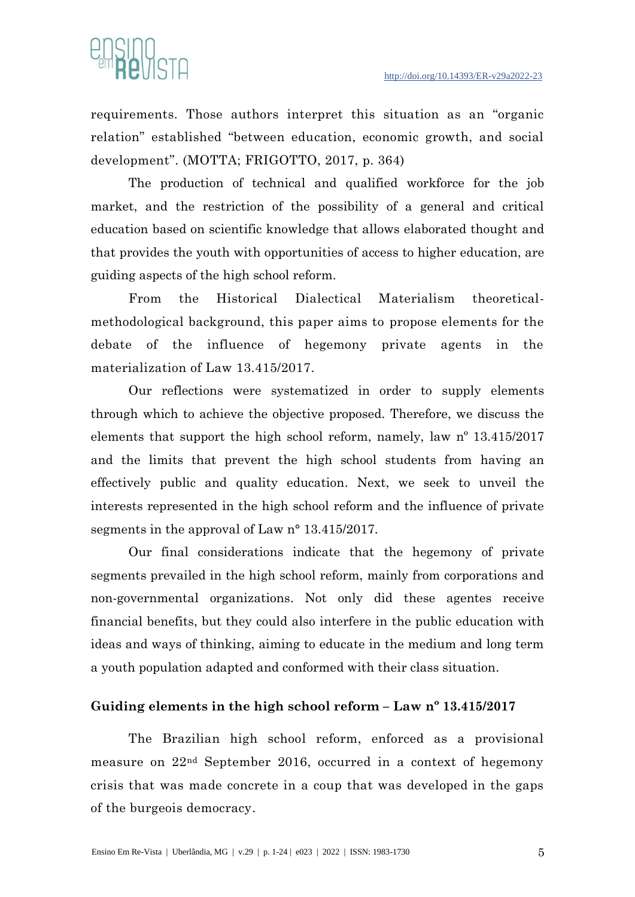

requirements. Those authors interpret this situation as an "organic relation" established "between education, economic growth, and social development". (MOTTA; FRIGOTTO, 2017, p. 364)

The production of technical and qualified workforce for the job market, and the restriction of the possibility of a general and critical education based on scientific knowledge that allows elaborated thought and that provides the youth with opportunities of access to higher education, are guiding aspects of the high school reform.

From the Historical Dialectical Materialism theoreticalmethodological background, this paper aims to propose elements for the debate of the influence of hegemony private agents in the materialization of Law 13.415/2017.

Our reflections were systematized in order to supply elements through which to achieve the objective proposed. Therefore, we discuss the elements that support the high school reform, namely, law nº 13.415/2017 and the limits that prevent the high school students from having an effectively public and quality education. Next, we seek to unveil the interests represented in the high school reform and the influence of private segments in the approval of Law n° 13.415/2017.

Our final considerations indicate that the hegemony of private segments prevailed in the high school reform, mainly from corporations and non-governmental organizations. Not only did these agentes receive financial benefits, but they could also interfere in the public education with ideas and ways of thinking, aiming to educate in the medium and long term a youth population adapted and conformed with their class situation.

# **Guiding elements in the high school reform – Law nº 13.415/2017**

The Brazilian high school reform, enforced as a provisional measure on 22nd September 2016, occurred in a context of hegemony crisis that was made concrete in a coup that was developed in the gaps of the burgeois democracy.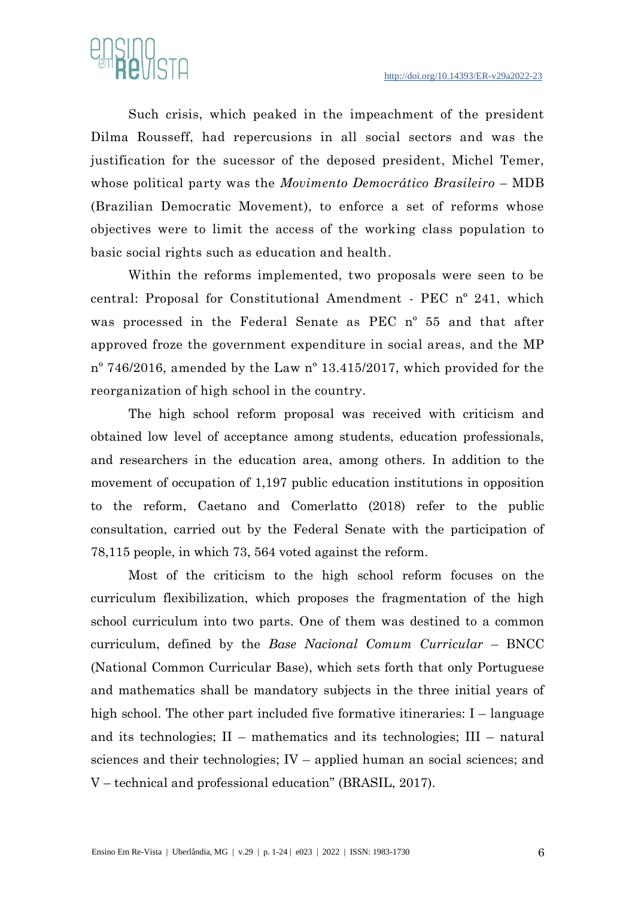

Such crisis, which peaked in the impeachment of the president Dilma Rousseff, had repercusions in all social sectors and was the justification for the sucessor of the deposed president, Michel Temer, whose political party was the *Movimento Democrático Brasileiro* – MDB (Brazilian Democratic Movement), to enforce a set of reforms whose objectives were to limit the access of the working class population to basic social rights such as education and health.

Within the reforms implemented, two proposals were seen to be central: Proposal for Constitutional Amendment - PEC nº 241, which was processed in the Federal Senate as PEC nº 55 and that after approved froze the government expenditure in social areas, and the MP nº 746/2016, amended by the Law nº 13.415/2017, which provided for the reorganization of high school in the country.

The high school reform proposal was received with criticism and obtained low level of acceptance among students, education professionals, and researchers in the education area, among others. In addition to the movement of occupation of 1,197 public education institutions in opposition to the reform, Caetano and Comerlatto (2018) refer to the public consultation, carried out by the Federal Senate with the participation of 78,115 people, in which 73, 564 voted against the reform.

Most of the criticism to the high school reform focuses on the curriculum flexibilization, which proposes the fragmentation of the high school curriculum into two parts. One of them was destined to a common curriculum, defined by the *Base Nacional Comum Curricular* – BNCC (National Common Curricular Base), which sets forth that only Portuguese and mathematics shall be mandatory subjects in the three initial years of high school. The other part included five formative itineraries: I – language and its technologies; II – mathematics and its technologies; III – natural sciences and their technologies; IV – applied human an social sciences; and V – technical and professional education" (BRASIL, 2017).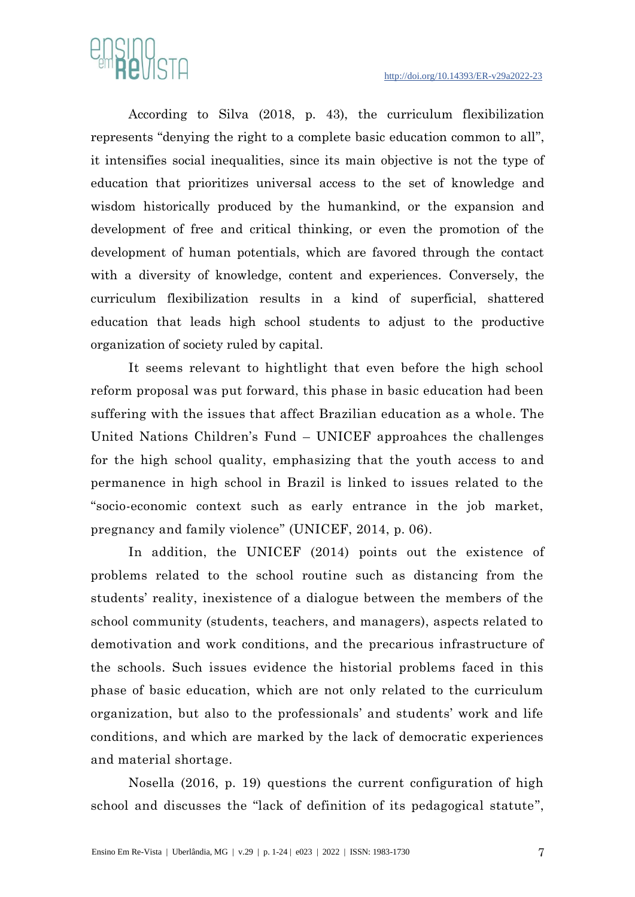

According to Silva (2018, p. 43), the curriculum flexibilization represents "denying the right to a complete basic education common to all", it intensifies social inequalities, since its main objective is not the type of education that prioritizes universal access to the set of knowledge and wisdom historically produced by the humankind, or the expansion and development of free and critical thinking, or even the promotion of the development of human potentials, which are favored through the contact with a diversity of knowledge, content and experiences. Conversely, the curriculum flexibilization results in a kind of superficial, shattered education that leads high school students to adjust to the productive organization of society ruled by capital.

It seems relevant to hightlight that even before the high school reform proposal was put forward, this phase in basic education had been suffering with the issues that affect Brazilian education as a whole. The United Nations Children's Fund – UNICEF approahces the challenges for the high school quality, emphasizing that the youth access to and permanence in high school in Brazil is linked to issues related to the "socio-economic context such as early entrance in the job market, pregnancy and family violence" (UNICEF, 2014, p. 06).

In addition, the UNICEF (2014) points out the existence of problems related to the school routine such as distancing from the students' reality, inexistence of a dialogue between the members of the school community (students, teachers, and managers), aspects related to demotivation and work conditions, and the precarious infrastructure of the schools. Such issues evidence the historial problems faced in this phase of basic education, which are not only related to the curriculum organization, but also to the professionals' and students' work and life conditions, and which are marked by the lack of democratic experiences and material shortage.

Nosella (2016, p. 19) questions the current configuration of high school and discusses the "lack of definition of its pedagogical statute",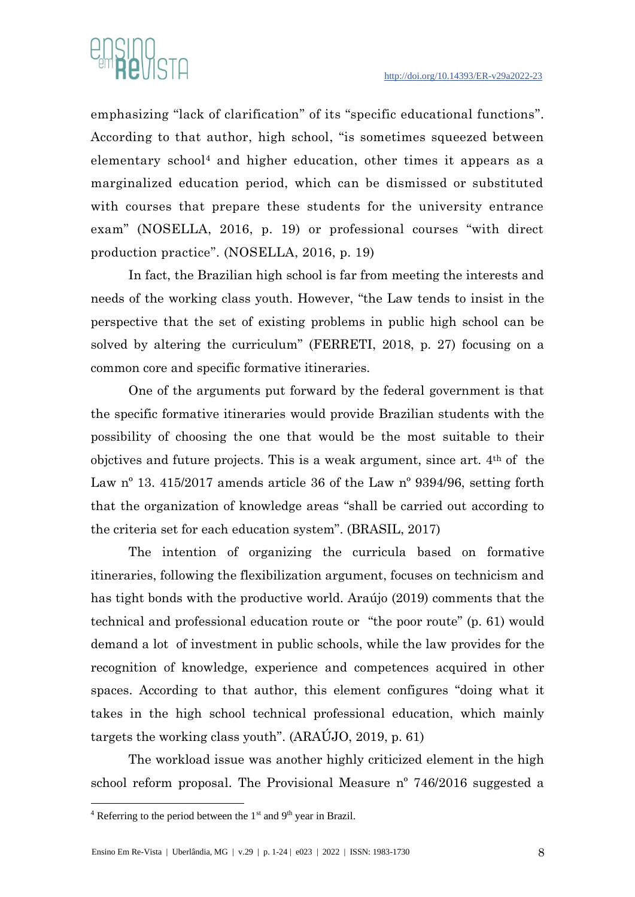

emphasizing "lack of clarification" of its "specific educational functions". According to that author, high school, "is sometimes squeezed between elementary school<sup>4</sup> and higher education, other times it appears as a marginalized education period, which can be dismissed or substituted with courses that prepare these students for the university entrance exam" (NOSELLA, 2016, p. 19) or professional courses "with direct production practice". (NOSELLA, 2016, p. 19)

In fact, the Brazilian high school is far from meeting the interests and needs of the working class youth. However, "the Law tends to insist in the perspective that the set of existing problems in public high school can be solved by altering the curriculum" (FERRETI, 2018, p. 27) focusing on a common core and specific formative itineraries.

One of the arguments put forward by the federal government is that the specific formative itineraries would provide Brazilian students with the possibility of choosing the one that would be the most suitable to their objctives and future projects. This is a weak argument, since art. 4th of the Law  $n^{\circ}$  13. 415/2017 amends article 36 of the Law  $n^{\circ}$  9394/96, setting forth that the organization of knowledge areas "shall be carried out according to the criteria set for each education system". (BRASIL, 2017)

The intention of organizing the curricula based on formative itineraries, following the flexibilization argument, focuses on technicism and has tight bonds with the productive world. Araújo (2019) comments that the technical and professional education route or "the poor route" (p. 61) would demand a lot of investment in public schools, while the law provides for the recognition of knowledge, experience and competences acquired in other spaces. According to that author, this element configures "doing what it takes in the high school technical professional education, which mainly targets the working class youth". (ARAÚJO, 2019, p. 61)

The workload issue was another highly criticized element in the high school reform proposal. The Provisional Measure nº 746/2016 suggested a

 $4$  Referring to the period between the 1<sup>st</sup> and 9<sup>th</sup> year in Brazil.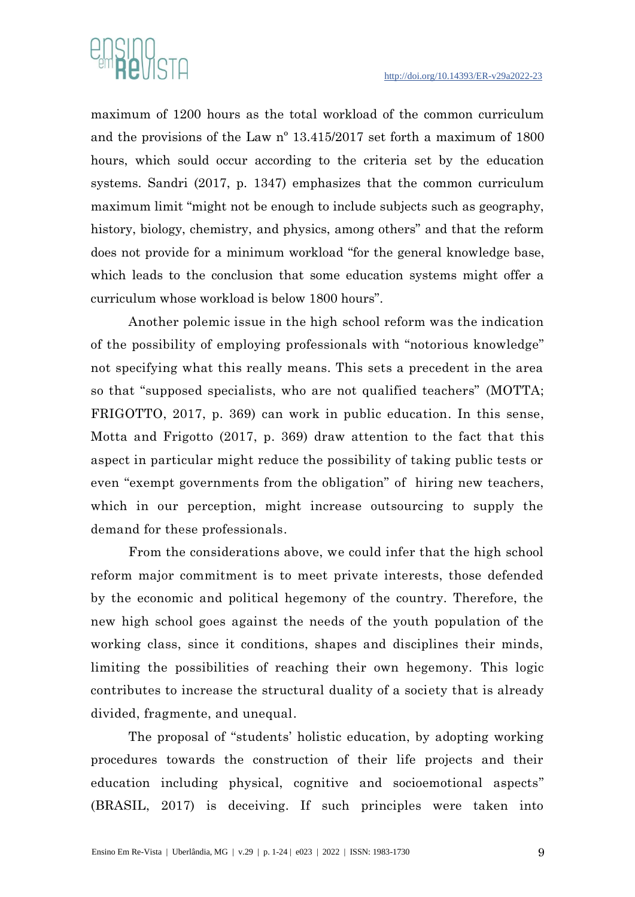

maximum of 1200 hours as the total workload of the common curriculum and the provisions of the Law nº 13.415/2017 set forth a maximum of 1800 hours, which sould occur according to the criteria set by the education systems. Sandri (2017, p. 1347) emphasizes that the common curriculum maximum limit "might not be enough to include subjects such as geography, history, biology, chemistry, and physics, among others" and that the reform does not provide for a minimum workload "for the general knowledge base, which leads to the conclusion that some education systems might offer a curriculum whose workload is below 1800 hours".

Another polemic issue in the high school reform was the indication of the possibility of employing professionals with "notorious knowledge" not specifying what this really means. This sets a precedent in the area so that "supposed specialists, who are not qualified teachers" (MOTTA; FRIGOTTO, 2017, p. 369) can work in public education. In this sense, Motta and Frigotto (2017, p. 369) draw attention to the fact that this aspect in particular might reduce the possibility of taking public tests or even "exempt governments from the obligation" of hiring new teachers, which in our perception, might increase outsourcing to supply the demand for these professionals.

From the considerations above, we could infer that the high school reform major commitment is to meet private interests, those defended by the economic and political hegemony of the country. Therefore, the new high school goes against the needs of the youth population of the working class, since it conditions, shapes and disciplines their minds, limiting the possibilities of reaching their own hegemony. This logic contributes to increase the structural duality of a society that is already divided, fragmente, and unequal.

The proposal of "students' holistic education, by adopting working procedures towards the construction of their life projects and their education including physical, cognitive and socioemotional aspects" (BRASIL, 2017) is deceiving. If such principles were taken into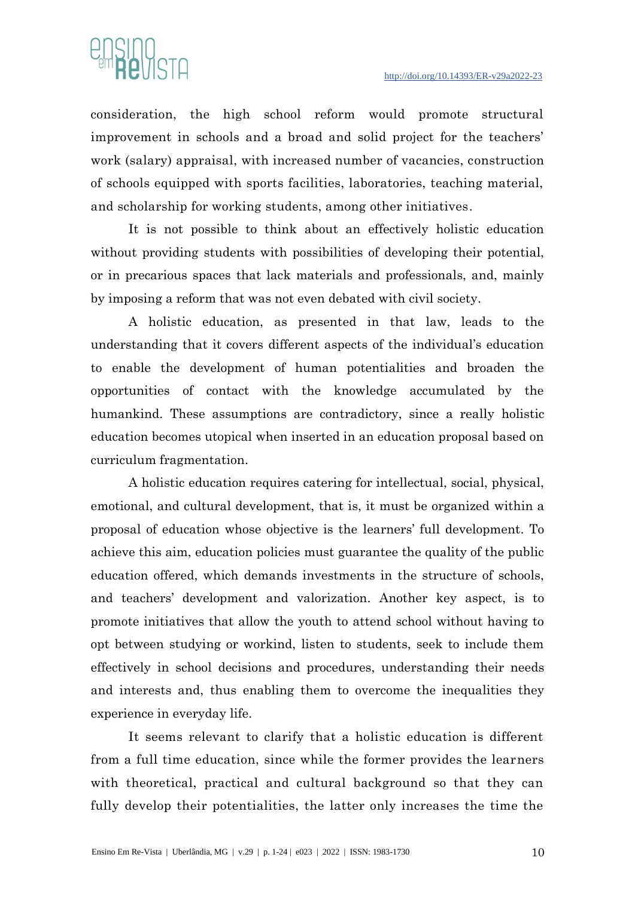

consideration, the high school reform would promote structural improvement in schools and a broad and solid project for the teachers' work (salary) appraisal, with increased number of vacancies, construction of schools equipped with sports facilities, laboratories, teaching material, and scholarship for working students, among other initiatives.

It is not possible to think about an effectively holistic education without providing students with possibilities of developing their potential, or in precarious spaces that lack materials and professionals, and, mainly by imposing a reform that was not even debated with civil society.

A holistic education, as presented in that law, leads to the understanding that it covers different aspects of the individual's education to enable the development of human potentialities and broaden the opportunities of contact with the knowledge accumulated by the humankind. These assumptions are contradictory, since a really holistic education becomes utopical when inserted in an education proposal based on curriculum fragmentation.

A holistic education requires catering for intellectual, social, physical, emotional, and cultural development, that is, it must be organized within a proposal of education whose objective is the learners' full development. To achieve this aim, education policies must guarantee the quality of the public education offered, which demands investments in the structure of schools, and teachers' development and valorization. Another key aspect, is to promote initiatives that allow the youth to attend school without having to opt between studying or workind, listen to students, seek to include them effectively in school decisions and procedures, understanding their needs and interests and, thus enabling them to overcome the inequalities they experience in everyday life.

It seems relevant to clarify that a holistic education is different from a full time education, since while the former provides the learners with theoretical, practical and cultural background so that they can fully develop their potentialities, the latter only increases the time the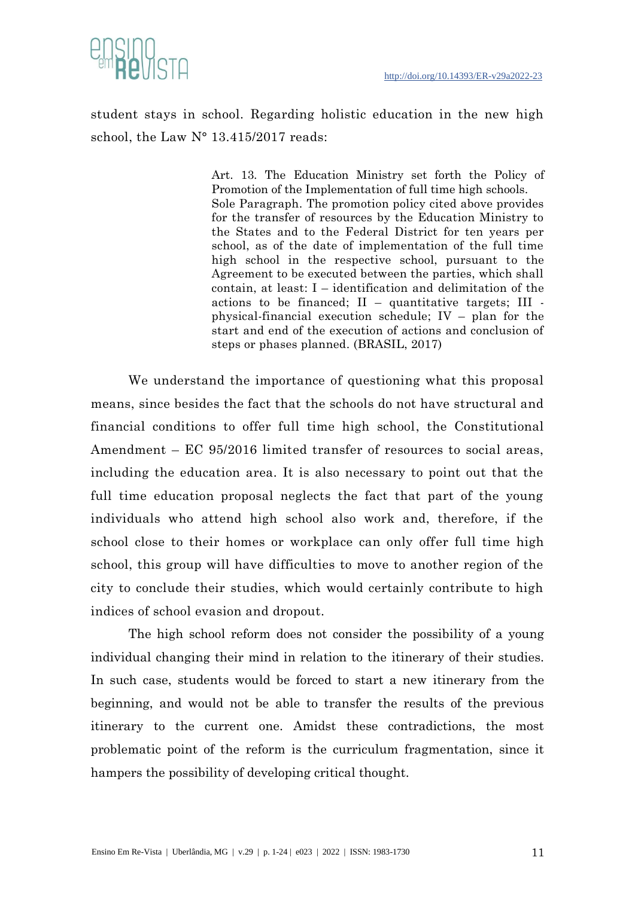



student stays in school. Regarding holistic education in the new high school, the Law N° 13.415/2017 reads:

> Art. 13. The Education Ministry set forth the Policy of Promotion of the Implementation of full time high schools. Sole Paragraph. The promotion policy cited above provides for the transfer of resources by the Education Ministry to the States and to the Federal District for ten years per school, as of the date of implementation of the full time high school in the respective school, pursuant to the Agreement to be executed between the parties, which shall contain, at least: I – identification and delimitation of the actions to be financed;  $II$  – quantitative targets;  $III$  physical-financial execution schedule; IV – plan for the start and end of the execution of actions and conclusion of steps or phases planned. (BRASIL, 2017)

We understand the importance of questioning what this proposal means, since besides the fact that the schools do not have structural and financial conditions to offer full time high school, the Constitutional Amendment – EC 95/2016 limited transfer of resources to social areas, including the education area. It is also necessary to point out that the full time education proposal neglects the fact that part of the young individuals who attend high school also work and, therefore, if the school close to their homes or workplace can only offer full time high school, this group will have difficulties to move to another region of the city to conclude their studies, which would certainly contribute to high indices of school evasion and dropout.

The high school reform does not consider the possibility of a young individual changing their mind in relation to the itinerary of their studies. In such case, students would be forced to start a new itinerary from the beginning, and would not be able to transfer the results of the previous itinerary to the current one. Amidst these contradictions, the most problematic point of the reform is the curriculum fragmentation, since it hampers the possibility of developing critical thought.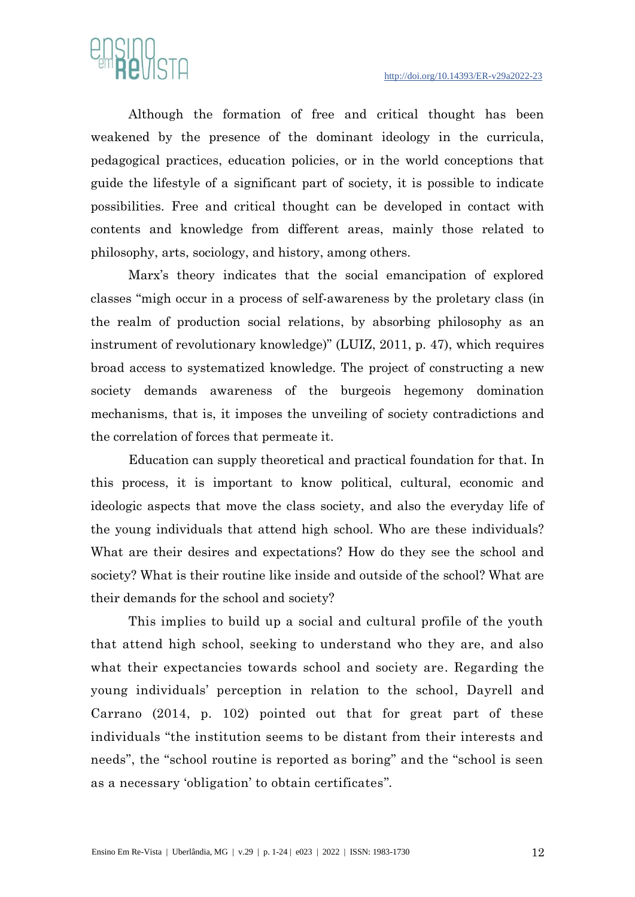

Although the formation of free and critical thought has been weakened by the presence of the dominant ideology in the curricula, pedagogical practices, education policies, or in the world conceptions that guide the lifestyle of a significant part of society, it is possible to indicate possibilities. Free and critical thought can be developed in contact with contents and knowledge from different areas, mainly those related to philosophy, arts, sociology, and history, among others.

Marx's theory indicates that the social emancipation of explored classes "migh occur in a process of self-awareness by the proletary class (in the realm of production social relations, by absorbing philosophy as an instrument of revolutionary knowledge)" (LUIZ, 2011, p. 47), which requires broad access to systematized knowledge. The project of constructing a new society demands awareness of the burgeois hegemony domination mechanisms, that is, it imposes the unveiling of society contradictions and the correlation of forces that permeate it.

Education can supply theoretical and practical foundation for that. In this process, it is important to know political, cultural, economic and ideologic aspects that move the class society, and also the everyday life of the young individuals that attend high school. Who are these individuals? What are their desires and expectations? How do they see the school and society? What is their routine like inside and outside of the school? What are their demands for the school and society?

This implies to build up a social and cultural profile of the youth that attend high school, seeking to understand who they are, and also what their expectancies towards school and society are. Regarding the young individuals' perception in relation to the school, Dayrell and Carrano (2014, p. 102) pointed out that for great part of these individuals "the institution seems to be distant from their interests and needs", the "school routine is reported as boring" and the "school is seen as a necessary 'obligation' to obtain certificates".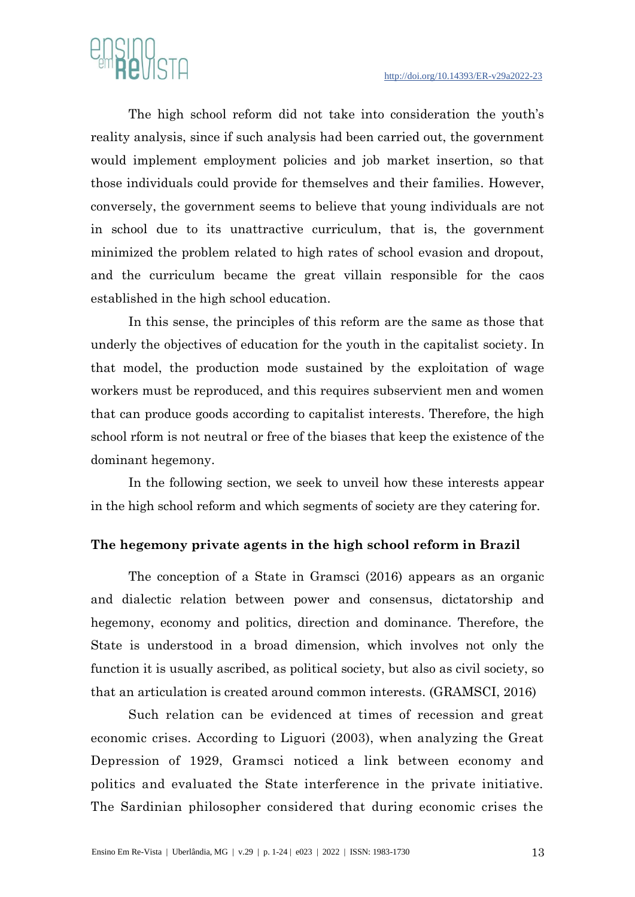

The high school reform did not take into consideration the youth's reality analysis, since if such analysis had been carried out, the government would implement employment policies and job market insertion, so that those individuals could provide for themselves and their families. However, conversely, the government seems to believe that young individuals are not in school due to its unattractive curriculum, that is, the government minimized the problem related to high rates of school evasion and dropout, and the curriculum became the great villain responsible for the caos established in the high school education.

In this sense, the principles of this reform are the same as those that underly the objectives of education for the youth in the capitalist society. In that model, the production mode sustained by the exploitation of wage workers must be reproduced, and this requires subservient men and women that can produce goods according to capitalist interests. Therefore, the high school rform is not neutral or free of the biases that keep the existence of the dominant hegemony.

In the following section, we seek to unveil how these interests appear in the high school reform and which segments of society are they catering for.

#### **The hegemony private agents in the high school reform in Brazil**

The conception of a State in Gramsci (2016) appears as an organic and dialectic relation between power and consensus, dictatorship and hegemony, economy and politics, direction and dominance. Therefore, the State is understood in a broad dimension, which involves not only the function it is usually ascribed, as political society, but also as civil society, so that an articulation is created around common interests. (GRAMSCI, 2016)

Such relation can be evidenced at times of recession and great economic crises. According to Liguori (2003), when analyzing the Great Depression of 1929, Gramsci noticed a link between economy and politics and evaluated the State interference in the private initiative. The Sardinian philosopher considered that during economic crises the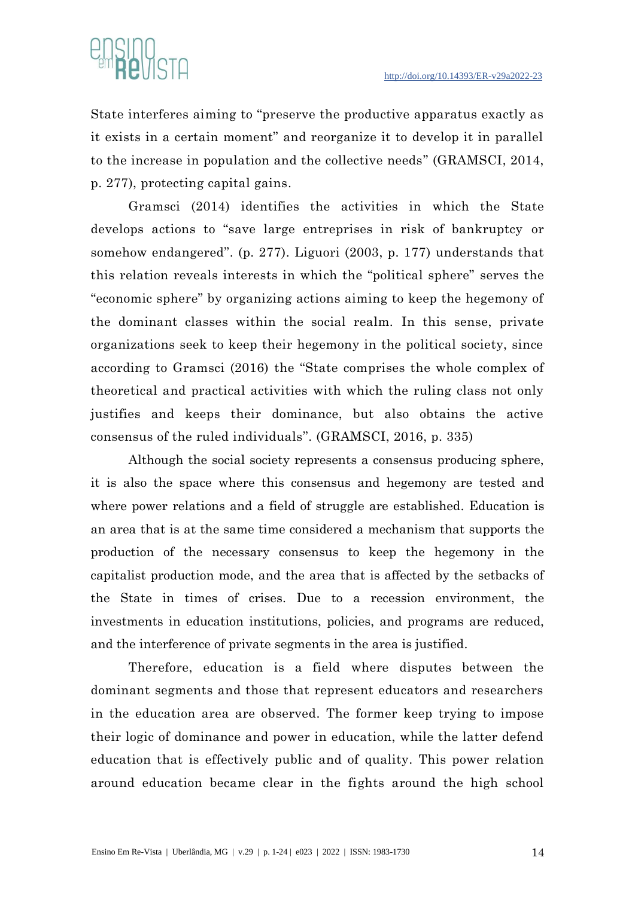

State interferes aiming to "preserve the productive apparatus exactly as it exists in a certain moment" and reorganize it to develop it in parallel to the increase in population and the collective needs" (GRAMSCI, 2014, p. 277), protecting capital gains.

Gramsci (2014) identifies the activities in which the State develops actions to "save large entreprises in risk of bankruptcy or somehow endangered". (p. 277). Liguori (2003, p. 177) understands that this relation reveals interests in which the "political sphere" serves the "economic sphere" by organizing actions aiming to keep the hegemony of the dominant classes within the social realm. In this sense, private organizations seek to keep their hegemony in the political society, since according to Gramsci (2016) the "State comprises the whole complex of theoretical and practical activities with which the ruling class not only justifies and keeps their dominance, but also obtains the active consensus of the ruled individuals". (GRAMSCI, 2016, p. 335)

Although the social society represents a consensus producing sphere, it is also the space where this consensus and hegemony are tested and where power relations and a field of struggle are established. Education is an area that is at the same time considered a mechanism that supports the production of the necessary consensus to keep the hegemony in the capitalist production mode, and the area that is affected by the setbacks of the State in times of crises. Due to a recession environment, the investments in education institutions, policies, and programs are reduced, and the interference of private segments in the area is justified.

Therefore, education is a field where disputes between the dominant segments and those that represent educators and researchers in the education area are observed. The former keep trying to impose their logic of dominance and power in education, while the latter defend education that is effectively public and of quality. This power relation around education became clear in the fights around the high school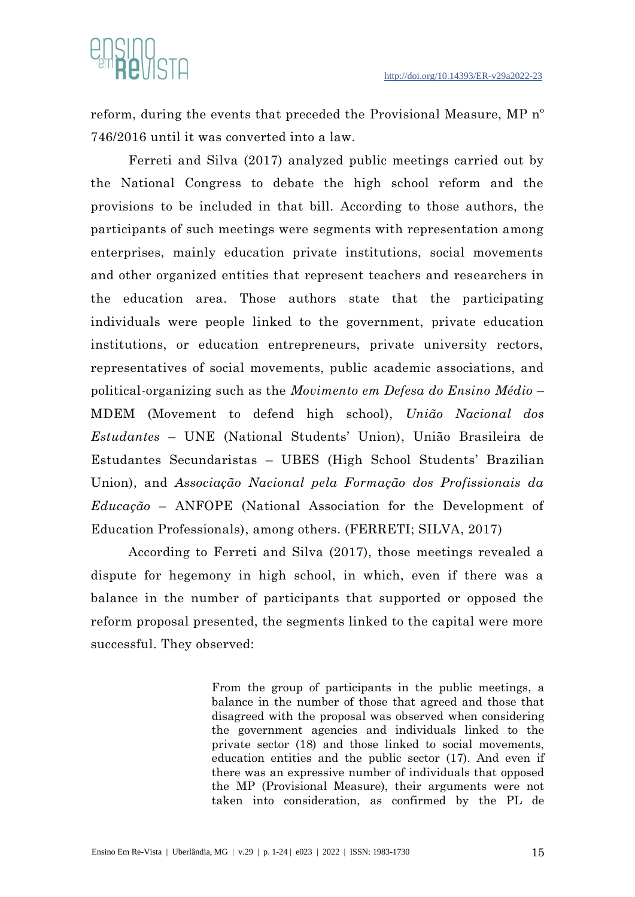

reform, during the events that preceded the Provisional Measure, MP nº 746/2016 until it was converted into a law.

Ferreti and Silva (2017) analyzed public meetings carried out by the National Congress to debate the high school reform and the provisions to be included in that bill. According to those authors, the participants of such meetings were segments with representation among enterprises, mainly education private institutions, social movements and other organized entities that represent teachers and researchers in the education area. Those authors state that the participating individuals were people linked to the government, private education institutions, or education entrepreneurs, private university rectors, representatives of social movements, public academic associations, and political-organizing such as the *Movimento em Defesa do Ensino Médio* – MDEM (Movement to defend high school), *União Nacional dos Estudantes* – UNE (National Students' Union), União Brasileira de Estudantes Secundaristas – UBES (High School Students' Brazilian Union), and *Associação Nacional pela Formação dos Profissionais da Educação* – ANFOPE (National Association for the Development of Education Professionals), among others. (FERRETI; SILVA, 2017)

According to Ferreti and Silva (2017), those meetings revealed a dispute for hegemony in high school, in which, even if there was a balance in the number of participants that supported or opposed the reform proposal presented, the segments linked to the capital were more successful. They observed:

> From the group of participants in the public meetings, a balance in the number of those that agreed and those that disagreed with the proposal was observed when considering the government agencies and individuals linked to the private sector (18) and those linked to social movements, education entities and the public sector (17). And even if there was an expressive number of individuals that opposed the MP (Provisional Measure), their arguments were not taken into consideration, as confirmed by the PL de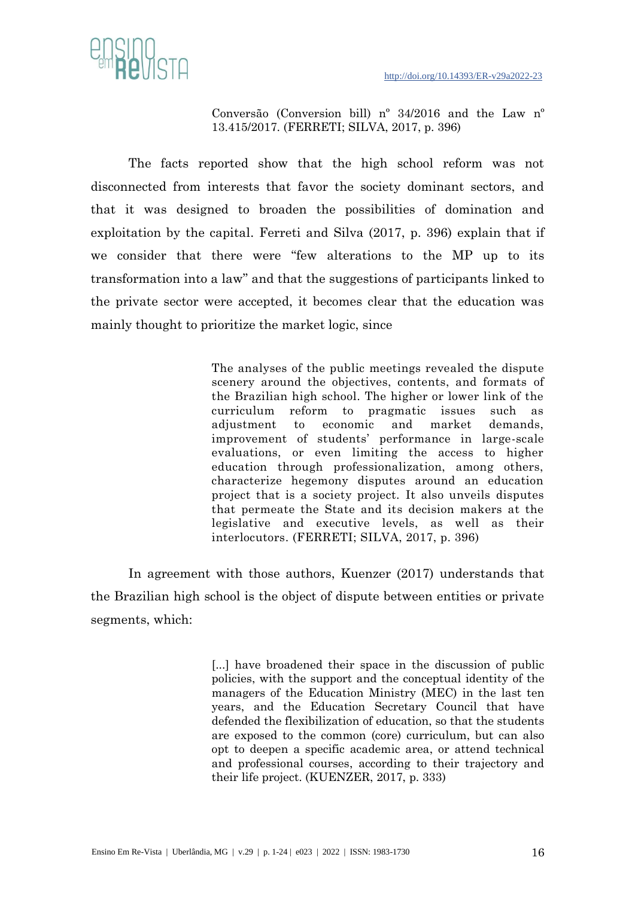

Conversão (Conversion bill) nº 34/2016 and the Law nº 13.415/2017. (FERRETI; SILVA, 2017, p. 396)

The facts reported show that the high school reform was not disconnected from interests that favor the society dominant sectors, and that it was designed to broaden the possibilities of domination and exploitation by the capital. Ferreti and Silva (2017, p. 396) explain that if we consider that there were "few alterations to the MP up to its transformation into a law" and that the suggestions of participants linked to the private sector were accepted, it becomes clear that the education was mainly thought to prioritize the market logic, since

> The analyses of the public meetings revealed the dispute scenery around the objectives, contents, and formats of the Brazilian high school. The higher or lower link of the curriculum reform to pragmatic issues such as adjustment to economic and market demands, improvement of students' performance in large-scale evaluations, or even limiting the access to higher education through professionalization, among others, characterize hegemony disputes around an education project that is a society project. It also unveils disputes that permeate the State and its decision makers at the legislative and executive levels, as well as their interlocutors. (FERRETI; SILVA, 2017, p. 396)

In agreement with those authors, Kuenzer (2017) understands that the Brazilian high school is the object of dispute between entities or private segments, which:

> [...] have broadened their space in the discussion of public policies, with the support and the conceptual identity of the managers of the Education Ministry (MEC) in the last ten years, and the Education Secretary Council that have defended the flexibilization of education, so that the students are exposed to the common (core) curriculum, but can also opt to deepen a specific academic area, or attend technical and professional courses, according to their trajectory and their life project. (KUENZER, 2017, p. 333)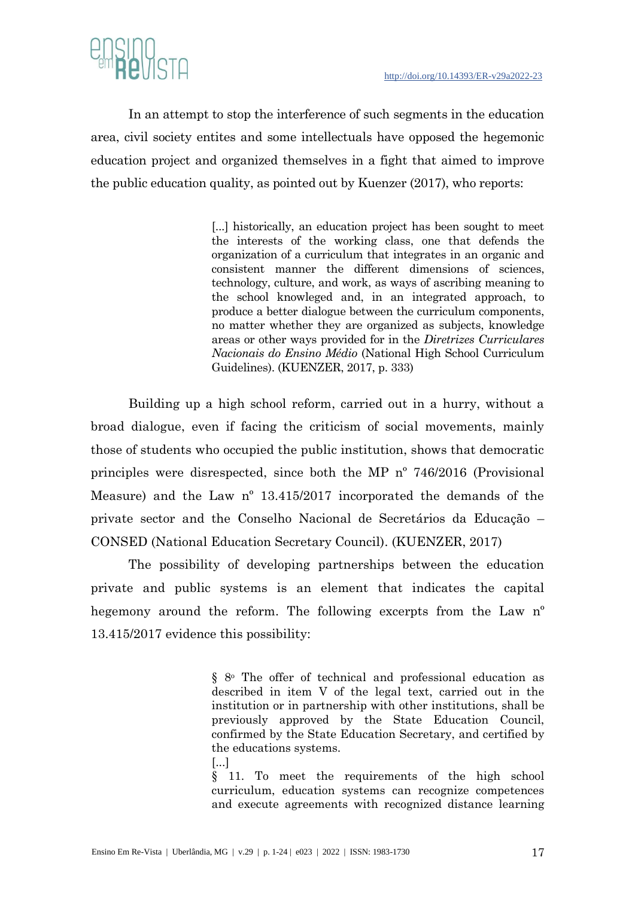

In an attempt to stop the interference of such segments in the education area, civil society entites and some intellectuals have opposed the hegemonic education project and organized themselves in a fight that aimed to improve the public education quality, as pointed out by Kuenzer (2017), who reports:

> [...] historically, an education project has been sought to meet the interests of the working class, one that defends the organization of a curriculum that integrates in an organic and consistent manner the different dimensions of sciences, technology, culture, and work, as ways of ascribing meaning to the school knowleged and, in an integrated approach, to produce a better dialogue between the curriculum components, no matter whether they are organized as subjects, knowledge areas or other ways provided for in the *Diretrizes Curriculares Nacionais do Ensino Médio* (National High School Curriculum Guidelines). (KUENZER, 2017, p. 333)

Building up a high school reform, carried out in a hurry, without a broad dialogue, even if facing the criticism of social movements, mainly those of students who occupied the public institution, shows that democratic principles were disrespected, since both the MP nº 746/2016 (Provisional Measure) and the Law nº 13.415/2017 incorporated the demands of the private sector and the Conselho Nacional de Secretários da Educação – CONSED (National Education Secretary Council). (KUENZER, 2017)

The possibility of developing partnerships between the education private and public systems is an element that indicates the capital hegemony around the reform. The following excerpts from the Law n<sup>o</sup> 13.415/2017 evidence this possibility:

> [§ 8](http://www.planalto.gov.br/ccivil_03/LEIS/L9394.htm#art36%C2%A78.)<sup>o</sup> The offer of technical and professional education as described in item V of the legal text, carried out in the institution or in partnership with other institutions, shall be previously approved by the State Education Council, confirmed by the State Education Secretary, and certified by the educations systems.

[...]

[§ 11.](http://www.planalto.gov.br/ccivil_03/LEIS/L9394.htm#art36%C2%A711.) To meet the requirements of the high school curriculum, education systems can recognize competences and execute agreements with recognized distance learning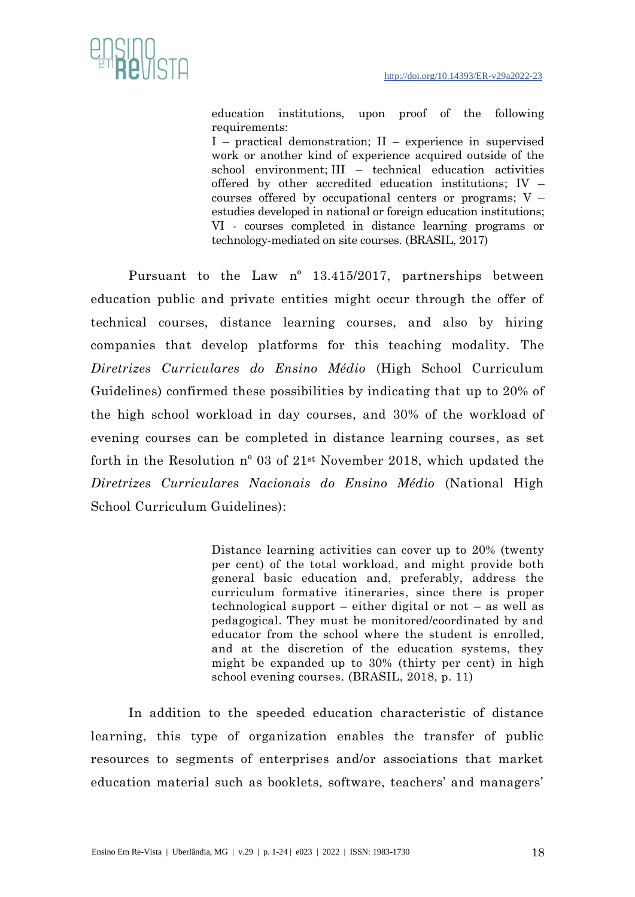

education institutions, upon proof of the following requirements:

[I](http://www.planalto.gov.br/ccivil_03/LEIS/L9394.htm#art36%C2%A711i.) – practical demonstration; [II](http://www.planalto.gov.br/ccivil_03/LEIS/L9394.htm#art36%C2%A711ii.) – experience in supervised work or another kind of experience acquired outside of the school environment; III – technical education activities offered by other accredited education institutions; IV – courses offered by occupational centers or programs;  $V$ estudies developed in national or foreign education institutions; VI - courses completed in distance learning programs or technology-mediated on site courses. (BRASIL, 2017)

Pursuant to the Law nº 13.415/2017, partnerships between education public and private entities might occur through the offer of technical courses, distance learning courses, and also by hiring companies that develop platforms for this teaching modality. The *Diretrizes Curriculares do Ensino Médio* (High School Curriculum Guidelines) confirmed these possibilities by indicating that up to 20% of the high school workload in day courses, and 30% of the workload of evening courses can be completed in distance learning courses, as set forth in the Resolution nº 03 of 21st November 2018, which updated the *Diretrizes Curriculares Nacionais do Ensino Médio* (National High School Curriculum Guidelines):

> Distance learning activities can cover up to 20% (twenty per cent) of the total workload, and might provide both general basic education and, preferably, address the curriculum formative itineraries, since there is proper technological support – either digital or not – as well as pedagogical. They must be monitored/coordinated by and educator from the school where the student is enrolled, and at the discretion of the education systems, they might be expanded up to 30% (thirty per cent) in high school evening courses. (BRASIL, 2018, p. 11)

In addition to the speeded education characteristic of distance learning, this type of organization enables the transfer of public resources to segments of enterprises and/or associations that market education material such as booklets, software, teachers' and managers'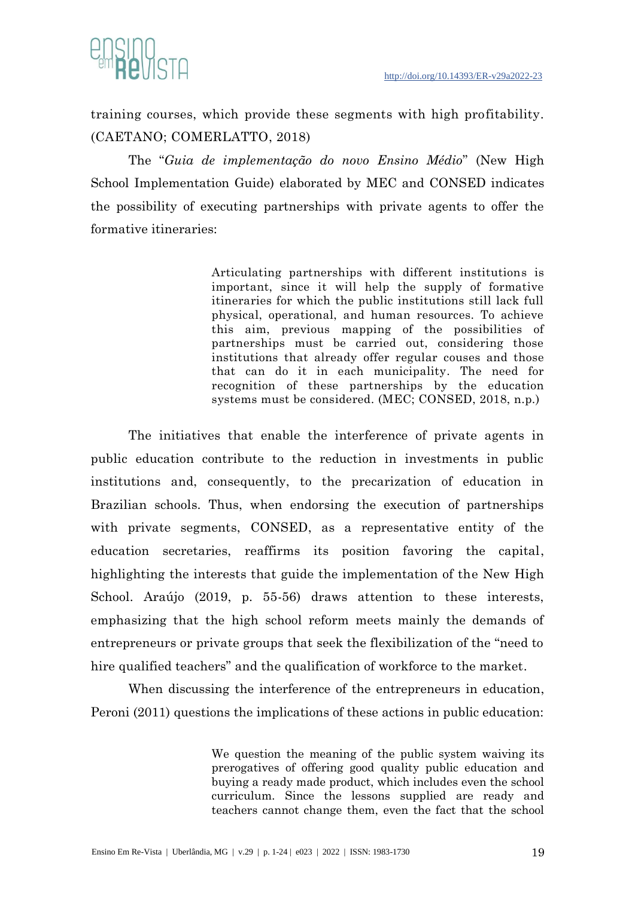



training courses, which provide these segments with high profitability. (CAETANO; COMERLATTO, 2018)

The "*Guia de implementação do novo Ensino Médio*" (New High School Implementation Guide) elaborated by MEC and CONSED indicates the possibility of executing partnerships with private agents to offer the formative itineraries:

> Articulating partnerships with different institutions is important, since it will help the supply of formative itineraries for which the public institutions still lack full physical, operational, and human resources. To achieve this aim, previous mapping of the possibilities of partnerships must be carried out, considering those institutions that already offer regular couses and those that can do it in each municipality. The need for recognition of these partnerships by the education systems must be considered. (MEC; CONSED, 2018, n.p.)

The initiatives that enable the interference of private agents in public education contribute to the reduction in investments in public institutions and, consequently, to the precarization of education in Brazilian schools. Thus, when endorsing the execution of partnerships with private segments, CONSED, as a representative entity of the education secretaries, reaffirms its position favoring the capital, highlighting the interests that guide the implementation of the New High School. Araújo (2019, p. 55-56) draws attention to these interests, emphasizing that the high school reform meets mainly the demands of entrepreneurs or private groups that seek the flexibilization of the "need to hire qualified teachers" and the qualification of workforce to the market.

When discussing the interference of the entrepreneurs in education, Peroni (2011) questions the implications of these actions in public education:

> We question the meaning of the public system waiving its prerogatives of offering good quality public education and buying a ready made product, which includes even the school curriculum. Since the lessons supplied are ready and teachers cannot change them, even the fact that the school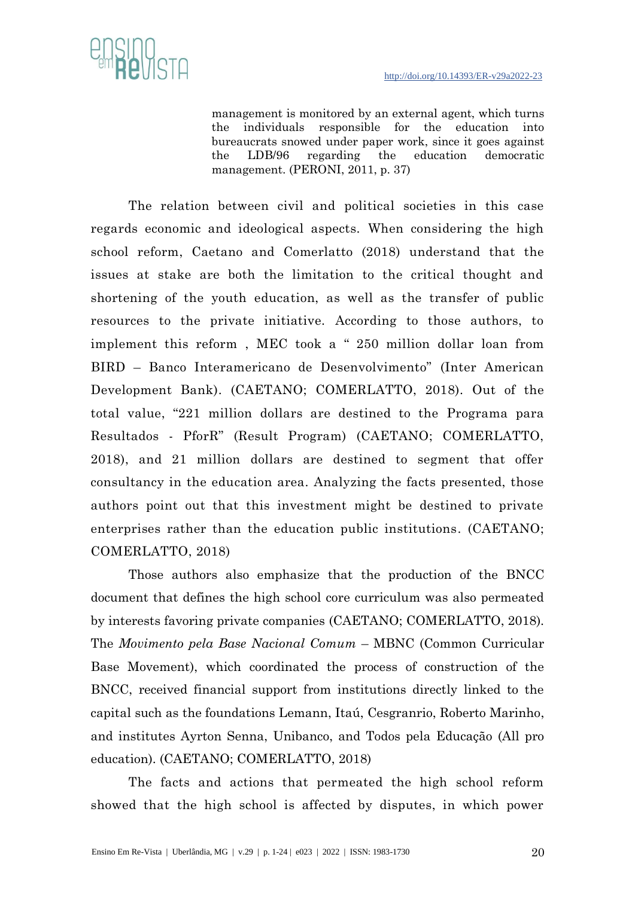

management is monitored by an external agent, which turns the individuals responsible for the education into bureaucrats snowed under paper work, since it goes against the LDB/96 regarding the education democratic management. (PERONI, 2011, p. 37)

The relation between civil and political societies in this case regards economic and ideological aspects. When considering the high school reform, Caetano and Comerlatto (2018) understand that the issues at stake are both the limitation to the critical thought and shortening of the youth education, as well as the transfer of public resources to the private initiative. According to those authors, to implement this reform , MEC took a " 250 million dollar loan from BIRD – Banco Interamericano de Desenvolvimento" (Inter American Development Bank). (CAETANO; COMERLATTO, 2018). Out of the total value, "221 million dollars are destined to the Programa para Resultados - PforR" (Result Program) (CAETANO; COMERLATTO, 2018), and 21 million dollars are destined to segment that offer consultancy in the education area. Analyzing the facts presented, those authors point out that this investment might be destined to private enterprises rather than the education public institutions. (CAETANO; COMERLATTO, 2018)

Those authors also emphasize that the production of the BNCC document that defines the high school core curriculum was also permeated by interests favoring private companies (CAETANO; COMERLATTO, 2018). The *Movimento pela Base Nacional Comum* – MBNC (Common Curricular Base Movement), which coordinated the process of construction of the BNCC, received financial support from institutions directly linked to the capital such as the foundations Lemann, Itaú, Cesgranrio, Roberto Marinho, and institutes Ayrton Senna, Unibanco, and Todos pela Educação (All pro education). (CAETANO; COMERLATTO, 2018)

The facts and actions that permeated the high school reform showed that the high school is affected by disputes, in which power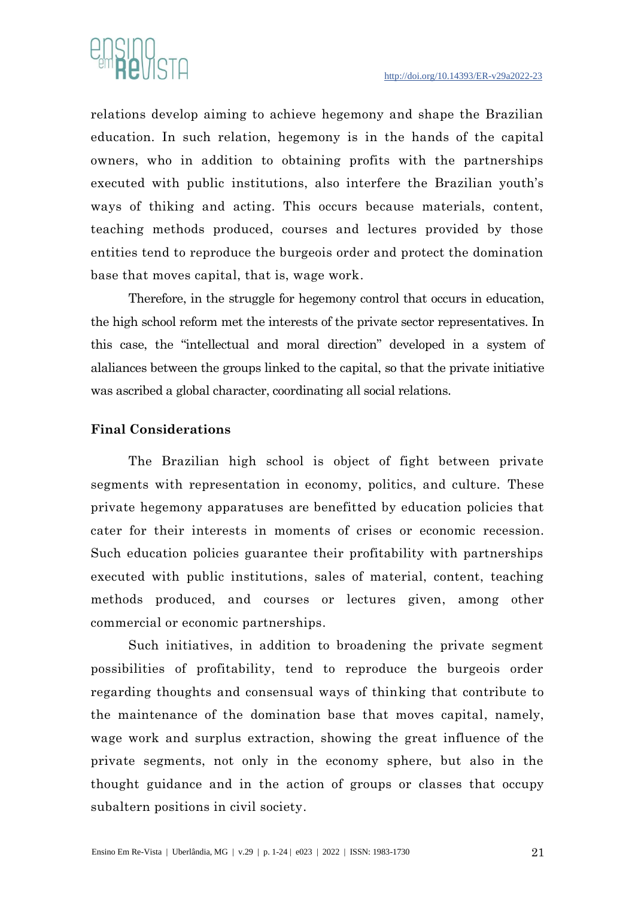

relations develop aiming to achieve hegemony and shape the Brazilian education. In such relation, hegemony is in the hands of the capital owners, who in addition to obtaining profits with the partnerships executed with public institutions, also interfere the Brazilian youth's ways of thiking and acting. This occurs because materials, content, teaching methods produced, courses and lectures provided by those entities tend to reproduce the burgeois order and protect the domination base that moves capital, that is, wage work.

Therefore, in the struggle for hegemony control that occurs in education, the high school reform met the interests of the private sector representatives. In this case, the "intellectual and moral direction" developed in a system of alaliances between the groups linked to the capital, so that the private initiative was ascribed a global character, coordinating all social relations.

### **Final Considerations**

The Brazilian high school is object of fight between private segments with representation in economy, politics, and culture. These private hegemony apparatuses are benefitted by education policies that cater for their interests in moments of crises or economic recession. Such education policies guarantee their profitability with partnerships executed with public institutions, sales of material, content, teaching methods produced, and courses or lectures given, among other commercial or economic partnerships.

Such initiatives, in addition to broadening the private segment possibilities of profitability, tend to reproduce the burgeois order regarding thoughts and consensual ways of thinking that contribute to the maintenance of the domination base that moves capital, namely, wage work and surplus extraction, showing the great influence of the private segments, not only in the economy sphere, but also in the thought guidance and in the action of groups or classes that occupy subaltern positions in civil society.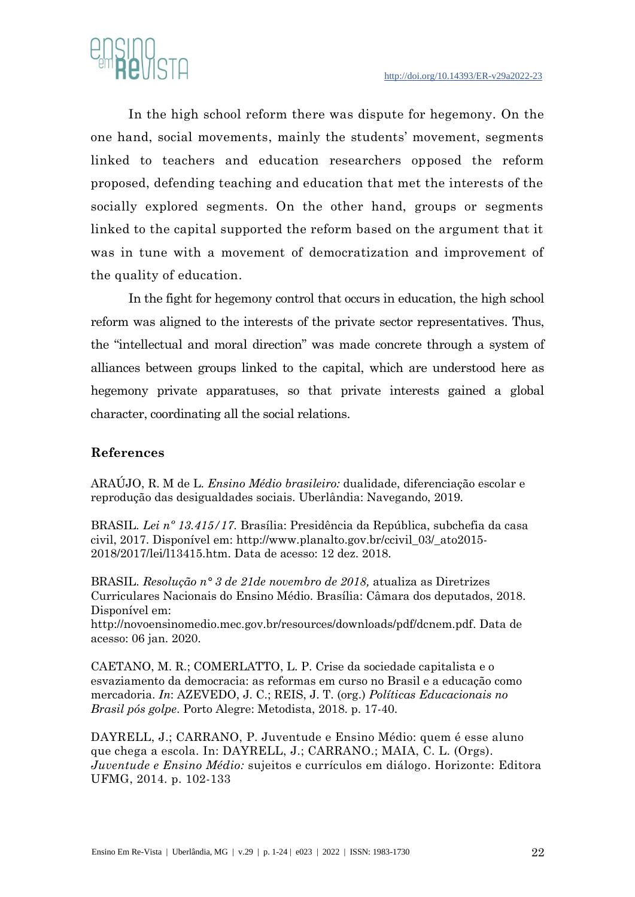

In the high school reform there was dispute for hegemony. On the one hand, social movements, mainly the students' movement, segments linked to teachers and education researchers opposed the reform proposed, defending teaching and education that met the interests of the socially explored segments. On the other hand, groups or segments linked to the capital supported the reform based on the argument that it was in tune with a movement of democratization and improvement of the quality of education.

In the fight for hegemony control that occurs in education, the high school reform was aligned to the interests of the private sector representatives. Thus, the "intellectual and moral direction" was made concrete through a system of alliances between groups linked to the capital, which are understood here as hegemony private apparatuses, so that private interests gained a global character, coordinating all the social relations.

## **References**

ARAÚJO, R. M de L. *Ensino Médio brasileiro:* dualidade, diferenciação escolar e reprodução das desigualdades sociais. Uberlândia: Navegando, 2019.

BRASIL*. Lei nº 13.415/17*. Brasília: Presidência da República, subchefia da casa civil, 2017. Disponível em: [http://www.planalto.gov.br/ccivil\\_03/\\_ato2015-](http://www.planalto.gov.br/ccivil_03/_ato2015-2018/2017/lei/l13415.htm) [2018/2017/lei/l13415.htm.](http://www.planalto.gov.br/ccivil_03/_ato2015-2018/2017/lei/l13415.htm) Data de acesso: 12 dez. 2018.

BRASIL. *Resolução n° 3 de 21de novembro de 2018,* atualiza as Diretrizes Curriculares Nacionais do Ensino Médio. Brasília: Câmara dos deputados, 2018. Disponível em:

[http://novoensinomedio.mec.gov.br/resources/downloads/pdf/dcnem.pdf.](http://novoensinomedio.mec.gov.br/resources/downloads/pdf/dcnem.pdf) Data de acesso: 06 jan. 2020.

CAETANO, M. R.; COMERLATTO, L. P. Crise da sociedade capitalista e o esvaziamento da democracia: as reformas em curso no Brasil e a educação como mercadoria. *In*: AZEVEDO, J. C.; REIS, J. T. (org.) *Políticas Educacionais no Brasil pós golpe*. Porto Alegre: Metodista, 2018. p. 17-40.

DAYRELL, J.; CARRANO, P. Juventude e Ensino Médio: quem é esse aluno que chega a escola. In: DAYRELL, J.; CARRANO.; MAIA, C. L. (Orgs). *Juventude e Ensino Médio:* sujeitos e currículos em diálogo. Horizonte: Editora UFMG, 2014. p. 102-133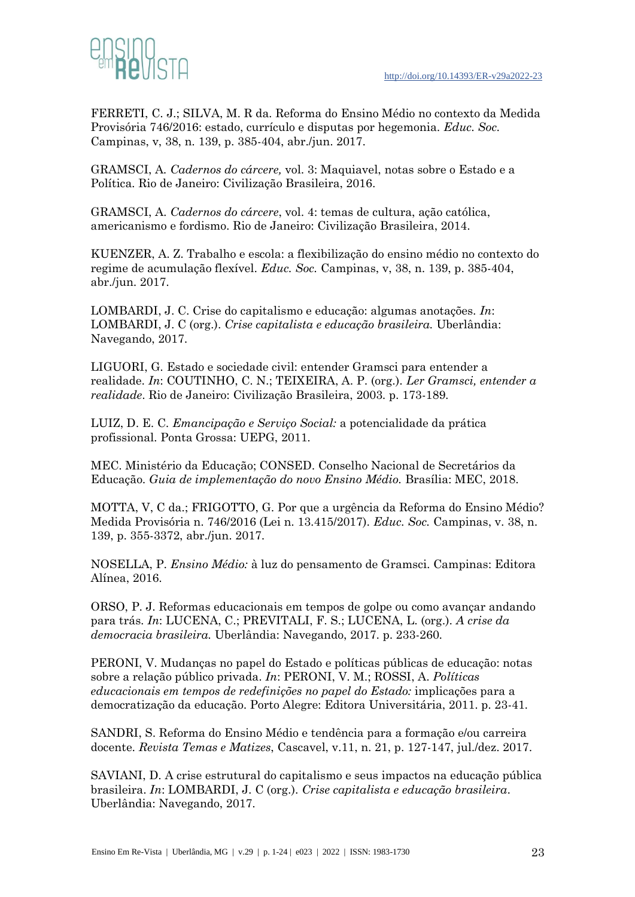

FERRETI, C. J.; SILVA, M. R da. Reforma do Ensino Médio no contexto da Medida Provisória 746/2016: estado, currículo e disputas por hegemonia. *Educ. Soc.* Campinas, v, 38, n. 139, p. 385-404, abr./jun. 2017.

GRAMSCI, A*. Cadernos do cárcere,* vol. 3: Maquiavel, notas sobre o Estado e a Política. Rio de Janeiro: Civilização Brasileira, 2016.

GRAMSCI, A. *Cadernos do cárcere*, vol. 4: temas de cultura, ação católica, americanismo e fordismo. Rio de Janeiro: Civilização Brasileira, 2014.

KUENZER, A. Z. Trabalho e escola: a flexibilização do ensino médio no contexto do regime de acumulação flexível. *Educ. Soc.* Campinas, v, 38, n. 139, p. 385-404, abr./jun. 2017.

LOMBARDI, J. C. Crise do capitalismo e educação: algumas anotações. *In*: LOMBARDI, J. C (org.). *Crise capitalista e educação brasileira.* Uberlândia: Navegando, 2017.

LIGUORI, G. Estado e sociedade civil: entender Gramsci para entender a realidade. *In*: COUTINHO, C. N.; TEIXEIRA, A. P. (org.). *Ler Gramsci, entender a realidade*. Rio de Janeiro: Civilização Brasileira, 2003. p. 173-189.

LUIZ, D. E. C. *Emancipação e Serviço Social:* a potencialidade da prática profissional. Ponta Grossa: UEPG, 2011.

MEC. Ministério da Educação; CONSED. Conselho Nacional de Secretários da Educação. *Guia de implementação do novo Ensino Médio.* Brasília: MEC, 2018.

MOTTA, V, C da.; FRIGOTTO, G. Por que a urgência da Reforma do Ensino Médio? Medida Provisória n. 746/2016 (Lei n. 13.415/2017). *Educ. Soc.* Campinas, v. 38, n. 139, p. 355-3372, abr./jun. 2017.

NOSELLA, P. *Ensino Médio:* à luz do pensamento de Gramsci. Campinas: Editora Alínea, 2016.

ORSO, P. J. Reformas educacionais em tempos de golpe ou como avançar andando para trás. *In*: LUCENA, C.; PREVITALI, F. S.; LUCENA, L. (org.). *A crise da democracia brasileira.* Uberlândia: Navegando, 2017. p. 233-260.

PERONI, V. Mudanças no papel do Estado e políticas públicas de educação: notas sobre a relação público privada. *In*: PERONI, V. M.; ROSSI, A. *Políticas educacionais em tempos de redefinições no papel do Estado:* implicações para a democratização da educação. Porto Alegre: Editora Universitária, 2011. p. 23-41.

SANDRI, S. Reforma do Ensino Médio e tendência para a formação e/ou carreira docente. *Revista Temas e Matizes*, Cascavel, v.11, n. 21, p. 127-147, jul./dez. 2017.

SAVIANI, D. A crise estrutural do capitalismo e seus impactos na educação pública brasileira. *In*: LOMBARDI, J. C (org.). *Crise capitalista e educação brasileira*. Uberlândia: Navegando, 2017.